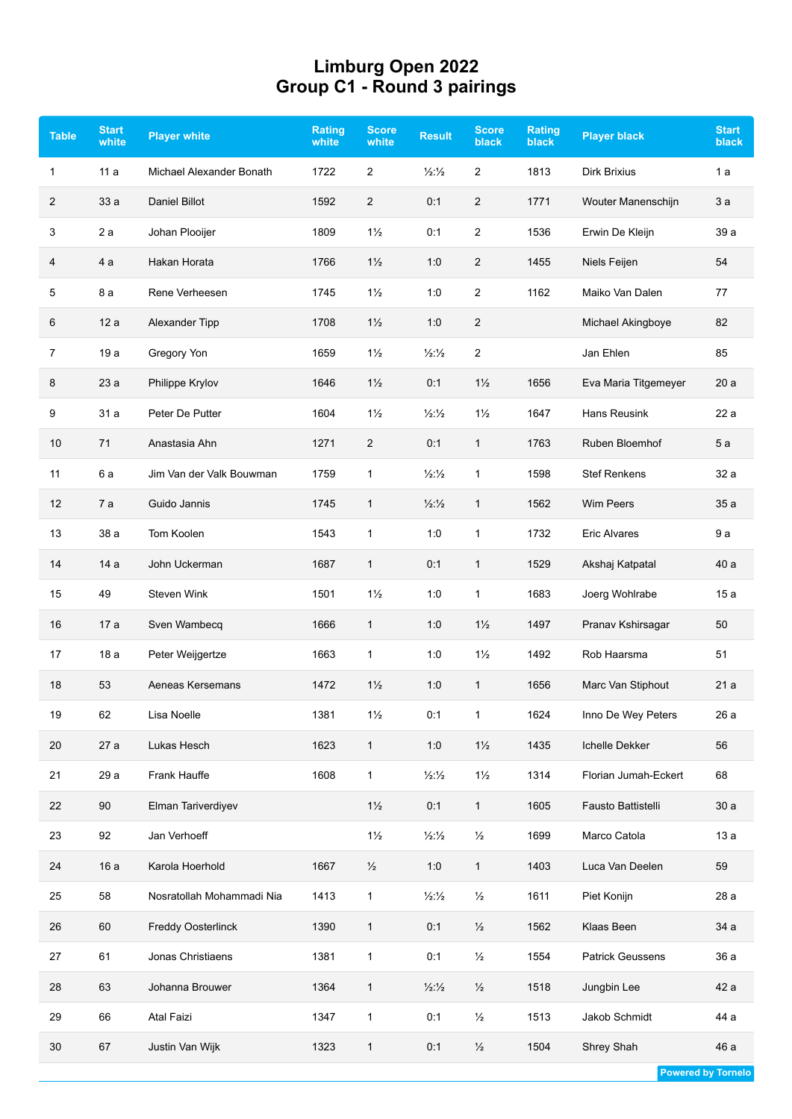## **Limburg Open 2022 Group C1 - Round 3 pairings**

| <b>Table</b> | <b>Start</b><br>white | <b>Player white</b>       | Rating<br>white | <b>Score</b><br>white | <b>Result</b>               | <b>Score</b><br>black | <b>Rating</b><br>black | <b>Player black</b>     | <b>Start</b><br><b>black</b> |
|--------------|-----------------------|---------------------------|-----------------|-----------------------|-----------------------------|-----------------------|------------------------|-------------------------|------------------------------|
| 1            | 11 a                  | Michael Alexander Bonath  | 1722            | $\overline{2}$        | $\frac{1}{2}\frac{1}{2}$    | $\overline{c}$        | 1813                   | <b>Dirk Brixius</b>     | 1 a                          |
| 2            | 33a                   | Daniel Billot             | 1592            | $\overline{2}$        | 0:1                         | $\overline{2}$        | 1771                   | Wouter Manenschijn      | 3a                           |
| 3            | 2a                    | Johan Plooijer            | 1809            | $1\frac{1}{2}$        | 0:1                         | 2                     | 1536                   | Erwin De Kleijn         | 39 a                         |
| 4            | 4 a                   | Hakan Horata              | 1766            | $1\frac{1}{2}$        | 1:0                         | 2                     | 1455                   | Niels Feijen            | 54                           |
| 5            | 8 a                   | Rene Verheesen            | 1745            | $1\frac{1}{2}$        | 1:0                         | $\overline{c}$        | 1162                   | Maiko Van Dalen         | 77                           |
| 6            | 12a                   | Alexander Tipp            | 1708            | $1\frac{1}{2}$        | 1:0                         | $\overline{2}$        |                        | Michael Akingboye       | 82                           |
| 7            | 19 a                  | Gregory Yon               | 1659            | $1\frac{1}{2}$        | $\frac{1}{2}\frac{1}{2}$    | 2                     |                        | Jan Ehlen               | 85                           |
| 8            | 23a                   | Philippe Krylov           | 1646            | $1\frac{1}{2}$        | 0:1                         | $1\frac{1}{2}$        | 1656                   | Eva Maria Titgemeyer    | 20a                          |
| 9            | 31 a                  | Peter De Putter           | 1604            | $1\frac{1}{2}$        | $\frac{1}{2}$ $\frac{1}{2}$ | $1\frac{1}{2}$        | 1647                   | Hans Reusink            | 22a                          |
| 10           | 71                    | Anastasia Ahn             | 1271            | $\overline{2}$        | 0:1                         | $\mathbf{1}$          | 1763                   | Ruben Bloemhof          | 5 a                          |
| 11           | 6 a                   | Jim Van der Valk Bouwman  | 1759            | $\mathbf{1}$          | $\frac{1}{2}\frac{1}{2}$    | $\mathbf{1}$          | 1598                   | <b>Stef Renkens</b>     | 32 a                         |
| 12           | 7a                    | Guido Jannis              | 1745            | $\mathbf{1}$          | $\frac{1}{2}\frac{1}{2}$    | $\mathbf{1}$          | 1562                   | Wim Peers               | 35a                          |
| 13           | 38 a                  | Tom Koolen                | 1543            | $\mathbf{1}$          | 1:0                         | $\mathbf{1}$          | 1732                   | <b>Eric Alvares</b>     | 9a                           |
| 14           | 14 a                  | John Uckerman             | 1687            | $\mathbf{1}$          | 0:1                         | $\mathbf{1}$          | 1529                   | Akshaj Katpatal         | 40 a                         |
| 15           | 49                    | Steven Wink               | 1501            | $1\frac{1}{2}$        | 1:0                         | $\mathbf{1}$          | 1683                   | Joerg Wohlrabe          | 15 a                         |
| 16           | 17 a                  | Sven Wambecq              | 1666            | $\mathbf{1}$          | 1:0                         | $1\frac{1}{2}$        | 1497                   | Pranav Kshirsagar       | 50                           |
| 17           | 18 a                  | Peter Weijgertze          | 1663            | $\mathbf{1}$          | 1:0                         | $1\frac{1}{2}$        | 1492                   | Rob Haarsma             | 51                           |
| 18           | 53                    | Aeneas Kersemans          | 1472            | $1\frac{1}{2}$        | 1:0                         | 1                     | 1656                   | Marc Van Stiphout       | 21 a                         |
| 19           | 62                    | Lisa Noelle               | 1381            | $1\frac{1}{2}$        | 0:1                         | $\mathbf{1}$          | 1624                   | Inno De Wey Peters      | 26 a                         |
| 20           | 27 a                  | Lukas Hesch               | 1623            | $\mathbf{1}$          | 1:0                         | $1\frac{1}{2}$        | 1435                   | Ichelle Dekker          | 56                           |
| 21           | 29 a                  | Frank Hauffe              | 1608            | $\mathbf{1}$          | $\frac{1}{2}$ $\frac{1}{2}$ | $1\frac{1}{2}$        | 1314                   | Florian Jumah-Eckert    | 68                           |
| 22           | 90                    | Elman Tariverdiyev        |                 | $1\frac{1}{2}$        | 0:1                         | $\mathbf{1}$          | 1605                   | Fausto Battistelli      | 30a                          |
| 23           | 92                    | Jan Verhoeff              |                 | $1\frac{1}{2}$        | $\frac{1}{2}$ $\frac{1}{2}$ | $\frac{1}{2}$         | 1699                   | Marco Catola            | 13a                          |
| 24           | 16a                   | Karola Hoerhold           | 1667            | $\frac{1}{2}$         | 1:0                         | $\mathbf{1}$          | 1403                   | Luca Van Deelen         | 59                           |
| 25           | 58                    | Nosratollah Mohammadi Nia | 1413            | $\mathbf{1}$          | $\frac{1}{2}\frac{1}{2}$    | $\frac{1}{2}$         | 1611                   | Piet Konijn             | 28 a                         |
| 26           | 60                    | Freddy Oosterlinck        | 1390            | $\mathbf{1}$          | 0:1                         | $\frac{1}{2}$         | 1562                   | Klaas Been              | 34 a                         |
| 27           | 61                    | Jonas Christiaens         | 1381            | $\mathbf{1}$          | 0:1                         | $\frac{1}{2}$         | 1554                   | <b>Patrick Geussens</b> | 36 a                         |
| 28           | 63                    | Johanna Brouwer           | 1364            | $\mathbf{1}$          | $\frac{1}{2}\frac{1}{2}$    | $\frac{1}{2}$         | 1518                   | Jungbin Lee             | 42 a                         |
| 29           | 66                    | Atal Faizi                | 1347            | $\mathbf{1}$          | 0:1                         | $\frac{1}{2}$         | 1513                   | Jakob Schmidt           | 44 a                         |
| 30           | 67                    | Justin Van Wijk           | 1323            | $\mathbf{1}$          | 0:1                         | $\frac{1}{2}$         | 1504                   | Shrey Shah              | 46 a                         |
|              |                       |                           |                 |                       |                             |                       |                        |                         |                              |